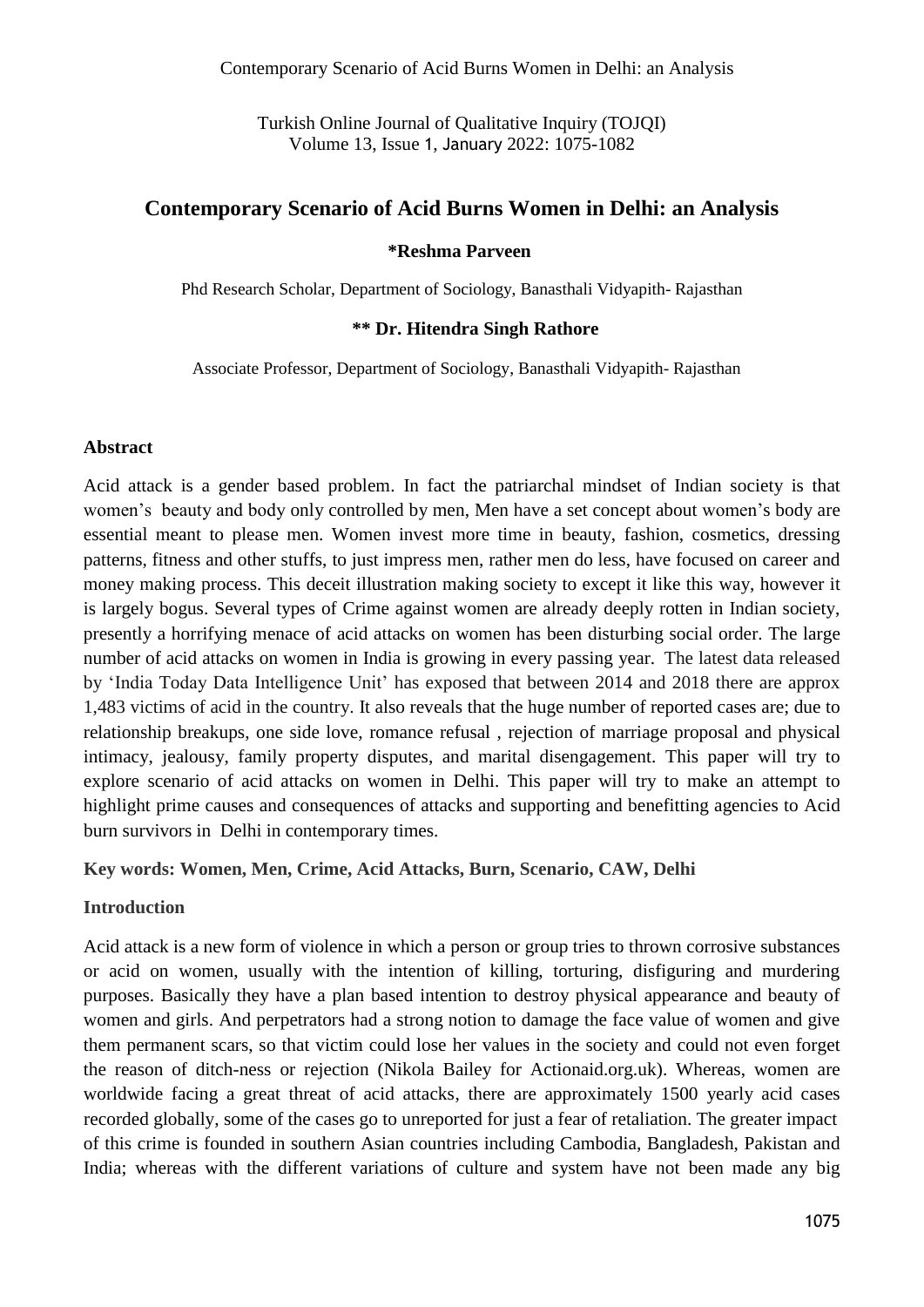Turkish Online Journal of Qualitative Inquiry (TOJQI) Volume 13, Issue 1, January 2022: 1075-1082

## **Contemporary Scenario of Acid Burns Women in Delhi: an Analysis**

#### **\*Reshma Parveen**

Phd Research Scholar, Department of Sociology, Banasthali Vidyapith- Rajasthan

#### **\*\* Dr. Hitendra Singh Rathore**

Associate Professor, Department of Sociology, Banasthali Vidyapith- Rajasthan

#### **Abstract**

Acid attack is a gender based problem. In fact the patriarchal mindset of Indian society is that women's beauty and body only controlled by men, Men have a set concept about women's body are essential meant to please men. Women invest more time in beauty, fashion, cosmetics, dressing patterns, fitness and other stuffs, to just impress men, rather men do less, have focused on career and money making process. This deceit illustration making society to except it like this way, however it is largely bogus. Several types of Crime against women are already deeply rotten in Indian society, presently a horrifying menace of acid attacks on women has been disturbing social order. The large number of acid attacks on women in India is growing in every passing year. The latest data released by 'India Today Data Intelligence Unit' has exposed that between 2014 and 2018 there are approx 1,483 victims of acid in the country. It also reveals that the huge number of reported cases are; due to relationship breakups, one side love, romance refusal , rejection of marriage proposal and physical intimacy, jealousy, family property disputes, and marital disengagement. This paper will try to explore scenario of acid attacks on women in Delhi. This paper will try to make an attempt to highlight prime causes and consequences of attacks and supporting and benefitting agencies to Acid burn survivors in Delhi in contemporary times.

#### **Key words: Women, Men, Crime, Acid Attacks, Burn, Scenario, CAW, Delhi**

#### **Introduction**

Acid attack is a new form of violence in which a person or group tries to thrown corrosive substances or acid on women, usually with the intention of killing, torturing, disfiguring and murdering purposes. Basically they have a plan based intention to destroy physical appearance and beauty of women and girls. And perpetrators had a strong notion to damage the face value of women and give them permanent scars, so that victim could lose her values in the society and could not even forget the reason of ditch-ness or rejection (Nikola Bailey for Actionaid.org.uk). Whereas, women are worldwide facing a great threat of acid attacks, there are approximately 1500 yearly acid cases of this crime is founded in southern Asian countries including Cambodia, Bangladesh, Pakistan and India; whereas with the different variations of culture and system have not been made any big recorded globally, some of the cases go to unreported for just a fear of retaliation. The greater impact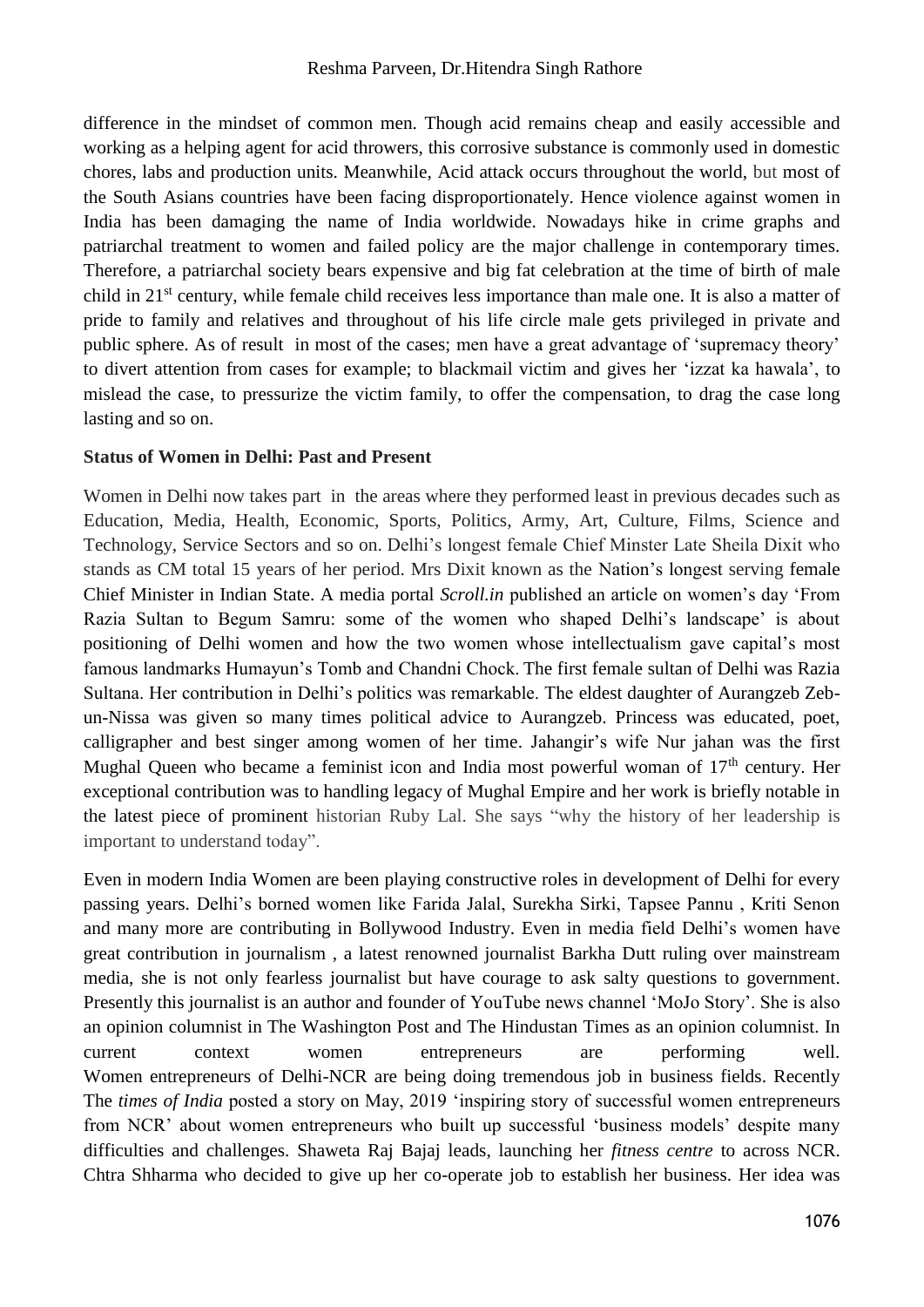difference in the mindset of common men. Though acid remains cheap and easily accessible and working as a helping agent for acid throwers, this corrosive substance is commonly used in domestic chores, labs and production units. Meanwhile, Acid attack occurs throughout the world, but most of the South Asians countries have been facing disproportionately. Hence violence against women in India has been damaging the name of India worldwide. Nowadays hike in crime graphs and patriarchal treatment to women and failed policy are the major challenge in contemporary times. Therefore, a patriarchal society bears expensive and big fat celebration at the time of birth of male child in 21st century, while female child receives less importance than male one. It is also a matter of pride to family and relatives and throughout of his life circle male gets privileged in private and public sphere. As of result in most of the cases; men have a great advantage of 'supremacy theory' to divert attention from cases for example; to blackmail victim and gives her 'izzat ka hawala', to mislead the case, to pressurize the victim family, to offer the compensation, to drag the case long lasting and so on.

#### **Status of Women in Delhi: Past and Present**

Women in Delhi now takes part in the areas where they performed least in previous decades such as Education, Media, Health, Economic, Sports, Politics, Army, Art, Culture, Films, Science and Technology, Service Sectors and so on. Delhi's longest female Chief Minster Late Sheila Dixit who stands as CM total 15 years of her period. Mrs Dixit known as the Nation's longest serving female Chief Minister in Indian State. A media portal *Scroll.in* published an article on women's day 'From Razia Sultan to Begum Samru: some of the women who shaped Delhi's landscape' is about positioning of Delhi women and how the two women whose intellectualism gave capital's most famous landmarks Humayun's Tomb and Chandni Chock. The first female sultan of Delhi was Razia Sultana. Her contribution in Delhi's politics was remarkable. The eldest daughter of Aurangzeb Zebun-Nissa was given so many times political advice to Aurangzeb. Princess was educated, poet, calligrapher and best singer among women of her time. Jahangir's wife Nur jahan was the first Mughal Queen who became a feminist icon and India most powerful woman of 17<sup>th</sup> century. Her exceptional contribution was to handling legacy of Mughal Empire and her work is briefly notable in the latest piece of prominent historian Ruby Lal. She says "why the history of her leadership is important to understand today".

Even in modern India Women are been playing constructive roles in development of Delhi for every passing years. Delhi's borned women like Farida Jalal, Surekha Sirki, Tapsee Pannu , Kriti Senon and many more are contributing in Bollywood Industry. Even in media field Delhi's women have great contribution in journalism , a latest renowned journalist Barkha Dutt ruling over mainstream media, she is not only fearless journalist but have courage to ask salty questions to government. Presently this journalist is an author and founder of YouTube news channel 'MoJo Story'. She is also an opinion columnist in The Washington Post and The Hindustan Times as an opinion columnist. In current context women entrepreneurs are performing well. Women entrepreneurs of Delhi-NCR are being doing tremendous job in business fields. Recently The *times of India* posted a story on May, 2019 'inspiring story of successful women entrepreneurs from NCR' about women entrepreneurs who built up successful 'business models' despite many difficulties and challenges. Shaweta Raj Bajaj leads, launching her *fitness centre* to across NCR. Chtra Shharma who decided to give up her co-operate job to establish her business. Her idea was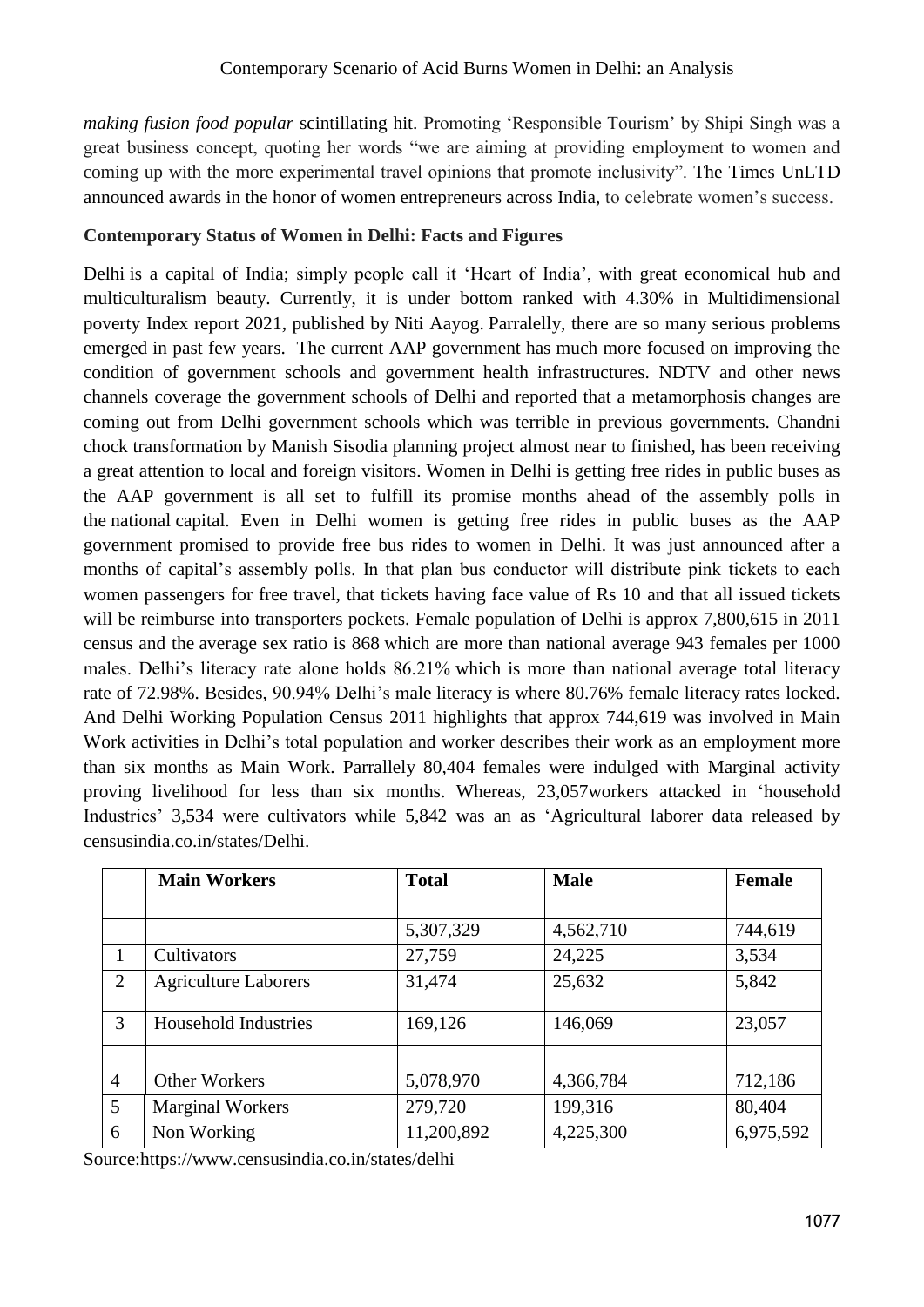*making fusion food popular* scintillating hit. Promoting 'Responsible Tourism' by Shipi Singh was a great business concept, quoting her words "we are aiming at providing employment to women and coming up with the more experimental travel opinions that promote inclusivity". The Times UnLTD announced awards in the honor of women entrepreneurs across India, to celebrate women's success.

### **Contemporary Status of Women in Delhi: Facts and Figures**

Delhi is a capital of India; simply people call it 'Heart of India', with great economical hub and multiculturalism beauty. Currently, it is under bottom ranked with 4.30% in Multidimensional poverty Index report 2021, published by Niti Aayog. Parralelly, there are so many serious problems emerged in past few years. The current AAP government has much more focused on improving the condition of government schools and government health infrastructures. NDTV and other news channels coverage the government schools of Delhi and reported that a metamorphosis changes are coming out from Delhi government schools which was terrible in previous governments. Chandni chock transformation by Manish Sisodia planning project almost near to finished, has been receiving a great attention to local and foreign visitors. Women in Delhi is getting free rides in public buses as the AAP government is all set to fulfill its promise months ahead of the assembly polls in the [national](https://www.business-standard.com/category/current-affairs-news-national-1150106.htm) capital. Even in Delhi women is getting free rides in public buses as the AAP government promised to provide free bus rides to women in Delhi. It was just announced after a months of capital's assembly polls. In that plan bus conductor will distribute pink tickets to each women passengers for free travel, that tickets having face value of Rs 10 and that all issued tickets will be reimburse into transporters pockets. Female population of Delhi is approx 7,800,615 in 2011 census and the average sex ratio is 868 which are more than national average 943 females per 1000 males. Delhi's literacy rate alone holds 86.21% which is more than national average total literacy rate of 72.98%. Besides, 90.94% Delhi's male literacy is where 80.76% female literacy rates locked. And Delhi Working Population Census 2011 highlights that approx 744,619 was involved in Main Work activities in Delhi's total population and worker describes their work as an employment more than six months as Main Work. Parrallely 80,404 females were indulged with Marginal activity proving livelihood for less than six months. Whereas, 23,057workers attacked in 'household Industries' 3,534 were cultivators while 5,842 was an as 'Agricultural laborer data released by censusindia.co.in/states/Delhi.

|                | <b>Main Workers</b>         | <b>Total</b> | <b>Male</b> | <b>Female</b> |  |
|----------------|-----------------------------|--------------|-------------|---------------|--|
|                |                             |              |             |               |  |
|                |                             | 5,307,329    | 4,562,710   | 744,619       |  |
|                | Cultivators                 | 27,759       | 24,225      | 3,534         |  |
| 2              | <b>Agriculture Laborers</b> | 31,474       | 25,632      | 5,842         |  |
| 3              | Household Industries        | 169,126      | 146,069     | 23,057        |  |
|                |                             |              |             |               |  |
| $\overline{4}$ | <b>Other Workers</b>        | 5,078,970    | 4,366,784   | 712,186       |  |
| 5              | <b>Marginal Workers</b>     | 279,720      | 199,316     | 80,404        |  |
| 6              | Non Working                 | 11,200,892   | 4,225,300   | 6,975,592     |  |

Source:https://www.censusindia.co.in/states/delhi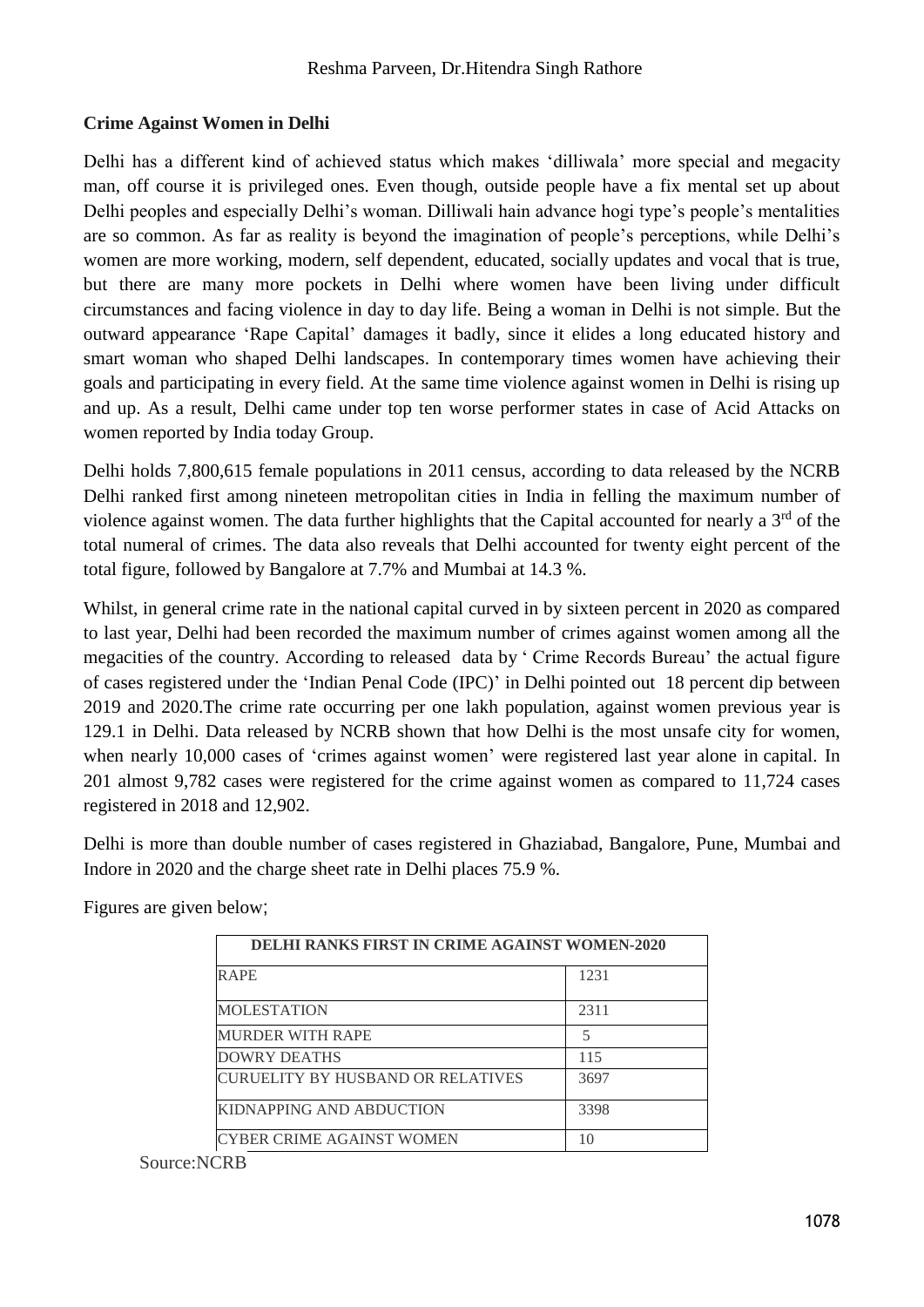### **Crime Against Women in Delhi**

Delhi has a different kind of achieved status which makes 'dilliwala' more special and megacity man, off course it is privileged ones. Even though, outside people have a fix mental set up about Delhi peoples and especially Delhi's woman. Dilliwali hain advance hogi type's people's mentalities are so common. As far as reality is beyond the imagination of people's perceptions, while Delhi's women are more working, modern, self dependent, educated, socially updates and vocal that is true, but there are many more pockets in Delhi where women have been living under difficult circumstances and facing violence in day to day life. Being a woman in Delhi is not simple. But the outward appearance 'Rape Capital' damages it badly, since it elides a long educated history and smart woman who shaped Delhi landscapes. In contemporary times women have achieving their goals and participating in every field. At the same time violence against women in Delhi is rising up and up. As a result, Delhi came under top ten worse performer states in case of Acid Attacks on women reported by India today Group.

Delhi holds 7,800,615 female populations in 2011 census, according to data released by the NCRB Delhi ranked first among nineteen metropolitan cities in India in felling the maximum number of violence against women. The data further highlights that the Capital accounted for nearly a  $3<sup>rd</sup>$  of the total numeral of crimes. The data also reveals that Delhi accounted for twenty eight percent of the total figure, followed by Bangalore at 7.7% and Mumbai at 14.3 %.

Whilst, in general crime rate in the national capital curved in by sixteen percent in 2020 as compared to last year, Delhi had been recorded the maximum number of crimes against women among all the megacities of the country. According to released data by ' Crime Records Bureau' the actual figure of cases registered under the 'Indian Penal Code (IPC)' in Delhi pointed out 18 percent dip between 2019 and 2020.The crime rate occurring per one lakh population, against women previous year is 129.1 in Delhi. Data released by NCRB shown that how Delhi is the most unsafe city for women, when nearly 10,000 cases of 'crimes against women' were registered last year alone in capital. In 201 almost 9,782 cases were registered for the crime against women as compared to 11,724 cases registered in 2018 and 12,902.

Delhi is more than double number of cases registered in Ghaziabad, Bangalore, Pune, Mumbai and Indore in 2020 and the charge sheet rate in Delhi places 75.9 %.

| <b>DELHI RANKS FIRST IN CRIME AGAINST WOMEN-2020</b> |      |  |  |  |  |  |
|------------------------------------------------------|------|--|--|--|--|--|
| <b>RAPE</b>                                          | 1231 |  |  |  |  |  |
| <b>MOLESTATION</b>                                   | 2311 |  |  |  |  |  |
| MURDER WITH RAPE                                     | 5    |  |  |  |  |  |
| DOWRY DEATHS                                         | 115  |  |  |  |  |  |
| CURUELITY BY HUSBAND OR RELATIVES                    | 3697 |  |  |  |  |  |
| KIDNAPPING AND ABDUCTION                             | 3398 |  |  |  |  |  |
| ICYBER CRIME AGAINST WOMEN                           | 10   |  |  |  |  |  |

Figures are given below;

Source:NCRB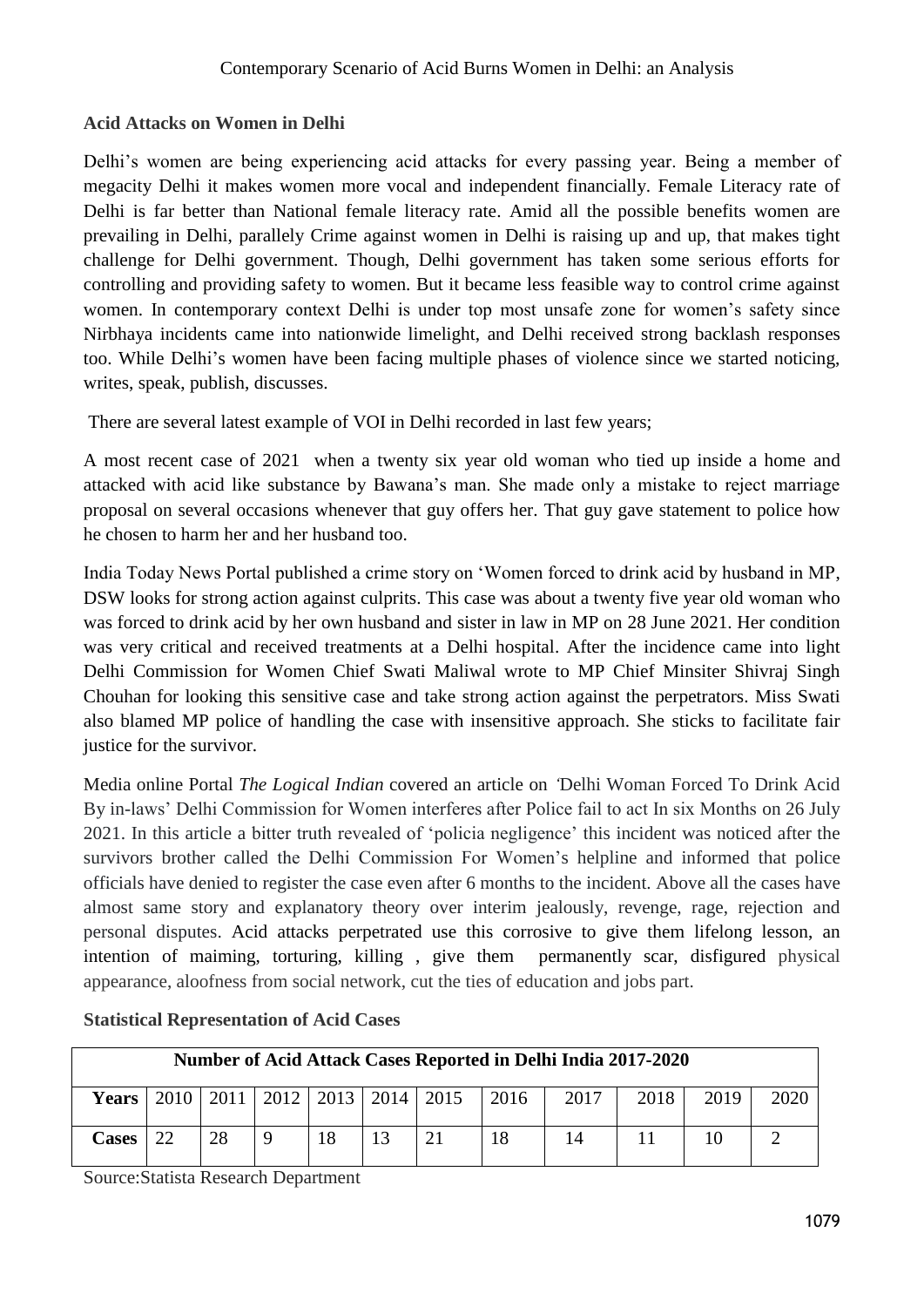## **Acid Attacks on Women in Delhi**

Delhi's women are being experiencing acid attacks for every passing year. Being a member of megacity Delhi it makes women more vocal and independent financially. Female Literacy rate of Delhi is far better than National female literacy rate. Amid all the possible benefits women are prevailing in Delhi, parallely Crime against women in Delhi is raising up and up, that makes tight challenge for Delhi government. Though, Delhi government has taken some serious efforts for controlling and providing safety to women. But it became less feasible way to control crime against women. In contemporary context Delhi is under top most unsafe zone for women's safety since Nirbhaya incidents came into nationwide limelight, and Delhi received strong backlash responses too. While Delhi's women have been facing multiple phases of violence since we started noticing, writes, speak, publish, discusses.

There are several latest example of VOI in Delhi recorded in last few years;

A most recent case of 2021 when a twenty six year old woman who tied up inside a home and attacked with acid like substance by Bawana's man. She made only a mistake to reject marriage proposal on several occasions whenever that guy offers her. That guy gave statement to police how he chosen to harm her and her husband too.

India Today News Portal published a crime story on 'Women forced to drink acid by husband in MP, DSW looks for strong action against culprits. This case was about a twenty five year old woman who was forced to drink acid by her own husband and sister in law in MP on 28 June 2021. Her condition was very critical and received treatments at a Delhi hospital. After the incidence came into light Delhi Commission for Women Chief Swati Maliwal wrote to MP Chief Minsiter Shivraj Singh Chouhan for looking this sensitive case and take strong action against the perpetrators. Miss Swati also blamed MP police of handling the case with insensitive approach. She sticks to facilitate fair justice for the survivor.

Media online Portal *The Logical Indian* covered an article on *'*Delhi Woman Forced To Drink Acid By in-laws' Delhi Commission for Women interferes after Police fail to act In six Months on 26 July 2021. In this article a bitter truth revealed of 'policia negligence' this incident was noticed after the survivors brother called the Delhi Commission For Women's helpline and informed that police officials have denied to register the case even after 6 months to the incident. Above all the cases have almost same story and explanatory theory over interim jealously, revenge, rage, rejection and personal disputes. Acid attacks perpetrated use this corrosive to give them lifelong lesson, an intention of maiming, torturing, killing , give them permanently scar, disfigured physical appearance, aloofness from social network, cut the ties of education and jobs part.

| Number of Acid Attack Cases Reported in Delhi India 2017-2020 |  |    |  |    |  |                                                                                |    |      |      |      |      |
|---------------------------------------------------------------|--|----|--|----|--|--------------------------------------------------------------------------------|----|------|------|------|------|
| <b>Years</b>                                                  |  |    |  |    |  | $\vert 2010 \vert 2011 \vert 2012 \vert 2013 \vert 2014 \vert 2015 \vert 2016$ |    | 2017 | 2018 | 2019 | 2020 |
| Cases                                                         |  | 28 |  | 18 |  | 21                                                                             | 18 |      |      |      |      |

**Statistical Representation of Acid Cases**

Source:Statista Research Department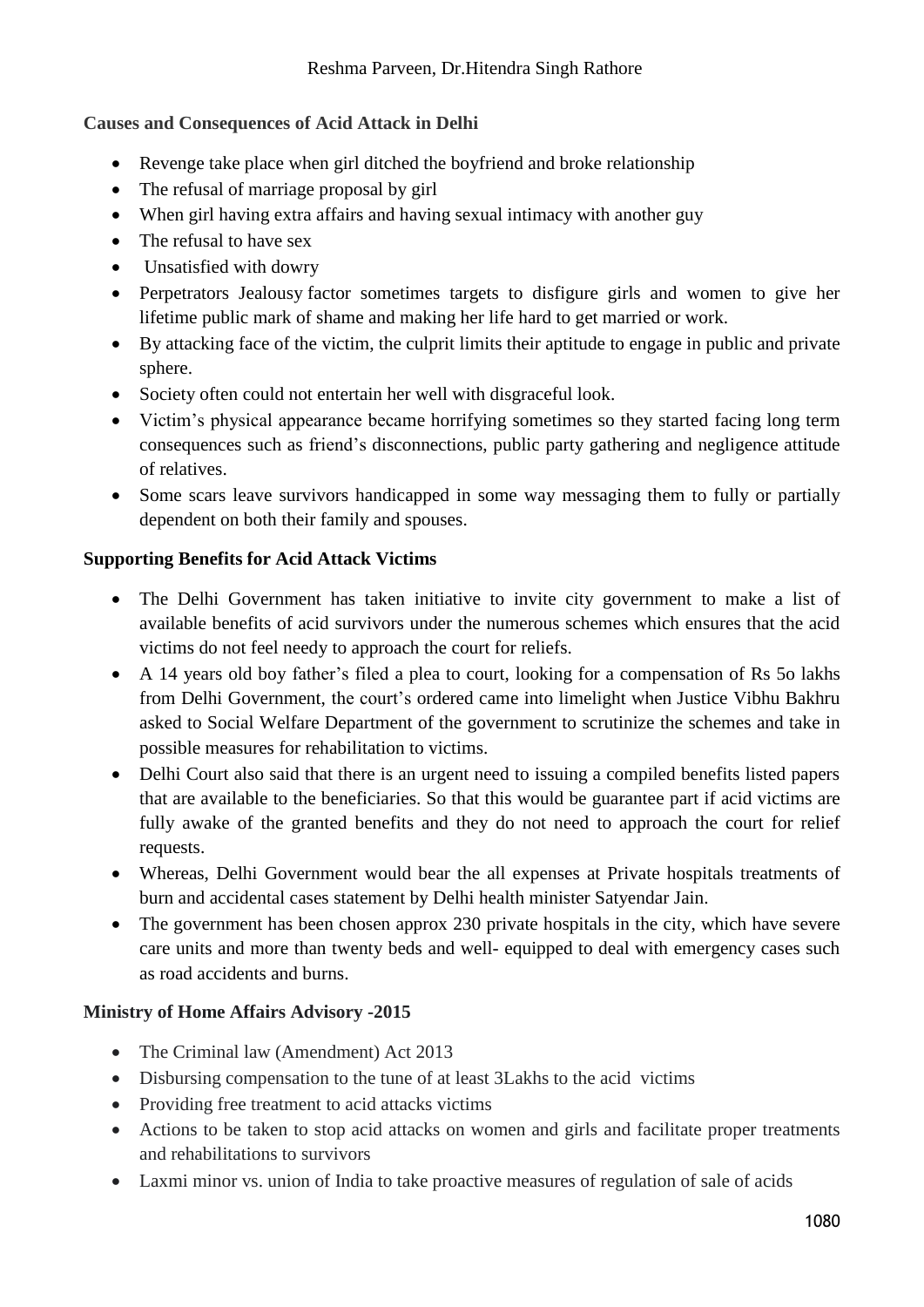## **Causes and Consequences of Acid Attack in Delhi**

- Revenge take place when girl ditched the boyfriend and broke relationship
- The refusal of marriage proposal by girl
- When girl having extra affairs and having sexual intimacy with another guy
- The refusal to have sex
- Unsatisfied with dowry
- Perpetrators Jealousy factor sometimes targets to disfigure girls and women to give her lifetime public mark of shame and making her life hard to get married or work.
- By attacking face of the victim, the culprit limits their aptitude to engage in public and private sphere.
- Society often could not entertain her well with disgraceful look.
- Victim's physical appearance became horrifying sometimes so they started facing long term consequences such as friend's disconnections, public party gathering and negligence attitude of relatives.
- Some scars leave survivors handicapped in some way messaging them to fully or partially dependent on both their family and spouses.

### **Supporting Benefits for Acid Attack Victims**

- The Delhi Government has taken initiative to invite city government to make a list of available benefits of acid survivors under the numerous schemes which ensures that the acid victims do not feel needy to approach the court for reliefs.
- A 14 years old boy father's filed a plea to court, looking for a compensation of Rs 5o lakhs from Delhi Government, the court's ordered came into limelight when Justice Vibhu Bakhru asked to Social Welfare Department of the government to scrutinize the schemes and take in possible measures for rehabilitation to victims.
- Delhi Court also said that there is an urgent need to issuing a compiled benefits listed papers that are available to the beneficiaries. So that this would be guarantee part if acid victims are fully awake of the granted benefits and they do not need to approach the court for relief requests.
- Whereas, Delhi Government would bear the all expenses at Private hospitals treatments of burn and accidental cases statement by Delhi health minister Satyendar Jain.
- The government has been chosen approx 230 private hospitals in the city, which have severe care units and more than twenty beds and well- equipped to deal with emergency cases such as road accidents and burns.

### **Ministry of Home Affairs Advisory -2015**

- The Criminal law (Amendment) Act 2013
- Disbursing compensation to the tune of at least 3Lakhs to the acid victims
- Providing free treatment to acid attacks victims
- Actions to be taken to stop acid attacks on women and girls and facilitate proper treatments and rehabilitations to survivors
- Laxmi minor vs. union of India to take proactive measures of regulation of sale of acids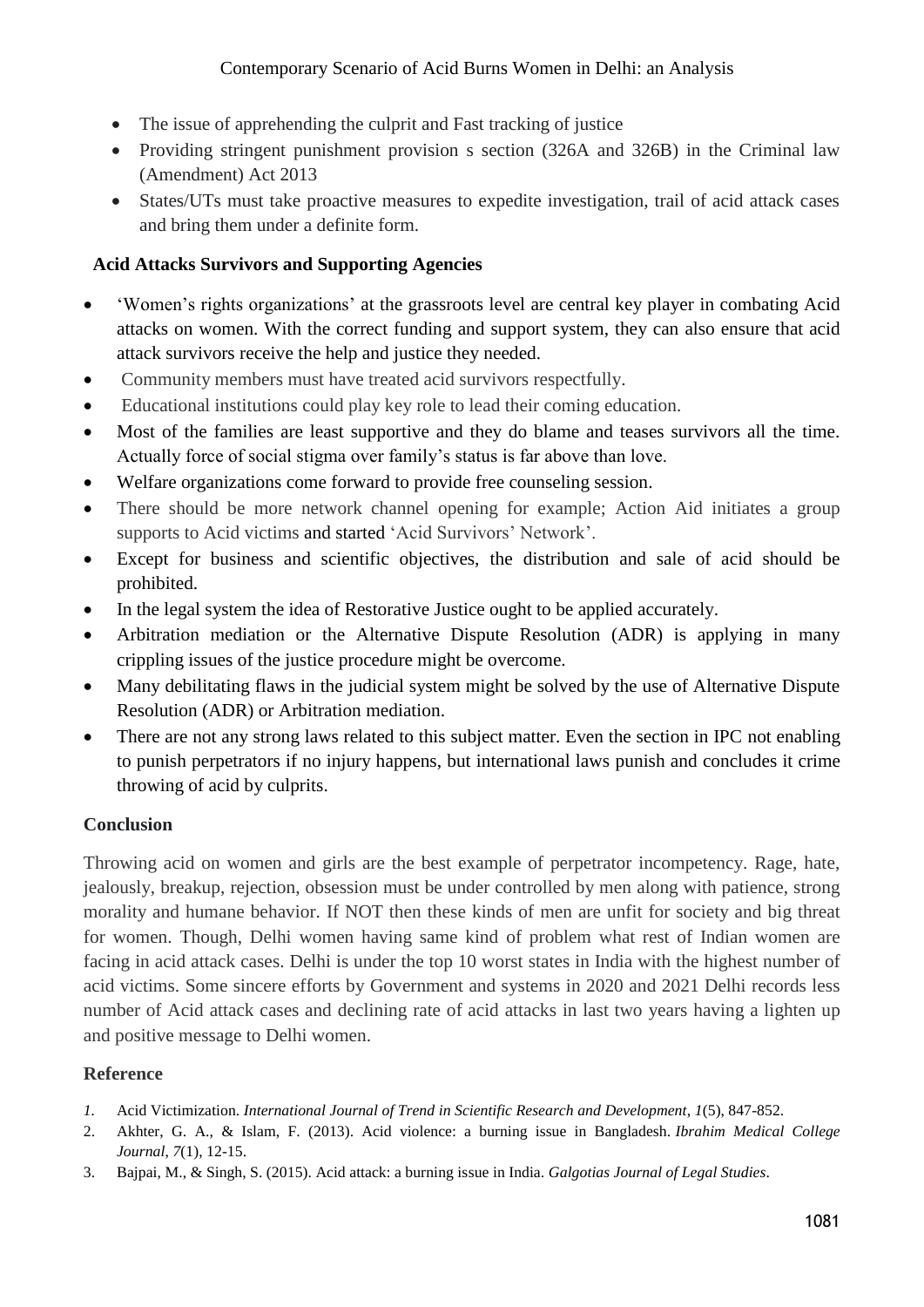- The issue of apprehending the culprit and Fast tracking of justice
- Providing stringent punishment provision s section (326A and 326B) in the Criminal law (Amendment) Act 2013
- States/UTs must take proactive measures to expedite investigation, trail of acid attack cases and bring them under a definite form.

## **Acid Attacks Survivors and Supporting Agencies**

- 'Women's rights organizations' at the grassroots level are central key player in combating Acid attacks on women. With the correct funding and support system, they can also ensure that acid attack survivors receive the help and justice they needed.
- Community members must have treated acid survivors respectfully.
- Educational institutions could play key role to lead their coming education.
- Most of the families are least supportive and they do blame and teases survivors all the time. Actually force of social stigma over family's status is far above than love.
- Welfare organizations come forward to provide free counseling session.
- There should be more network channel opening for example; Action Aid initiates a group supports to Acid victims and started 'Acid Survivors' Network'.
- Except for business and scientific objectives, the distribution and sale of acid should be prohibited.
- In the legal system the idea of Restorative Justice ought to be applied accurately.
- Arbitration mediation or the Alternative Dispute Resolution (ADR) is applying in many crippling issues of the justice procedure might be overcome.
- Many debilitating flaws in the judicial system might be solved by the use of Alternative Dispute Resolution (ADR) or Arbitration mediation.
- There are not any strong laws related to this subject matter. Even the section in IPC not enabling to punish perpetrators if no injury happens, but international laws punish and concludes it crime throwing of acid by culprits.

## **Conclusion**

Throwing acid on women and girls are the best example of perpetrator incompetency. Rage, hate, jealously, breakup, rejection, obsession must be under controlled by men along with patience, strong morality and humane behavior. If NOT then these kinds of men are unfit for society and big threat for women. Though, Delhi women having same kind of problem what rest of Indian women are facing in acid attack cases. Delhi is under the top 10 worst states in India with the highest number of acid victims. Some sincere efforts by Government and systems in 2020 and 2021 Delhi records less number of Acid attack cases and declining rate of acid attacks in last two years having a lighten up and positive message to Delhi women.

# **Reference**

- *1.* Acid Victimization. *International Journal of Trend in Scientific Research and Development*, *1*(5), 847-852.
- 2. Akhter, G. A., & Islam, F. (2013). Acid violence: a burning issue in Bangladesh. *Ibrahim Medical College Journal*, *7*(1), 12-15.
- 3. Bajpai, M., & Singh, S. (2015). Acid attack: a burning issue in India. *Galgotias Journal of Legal Studies*.